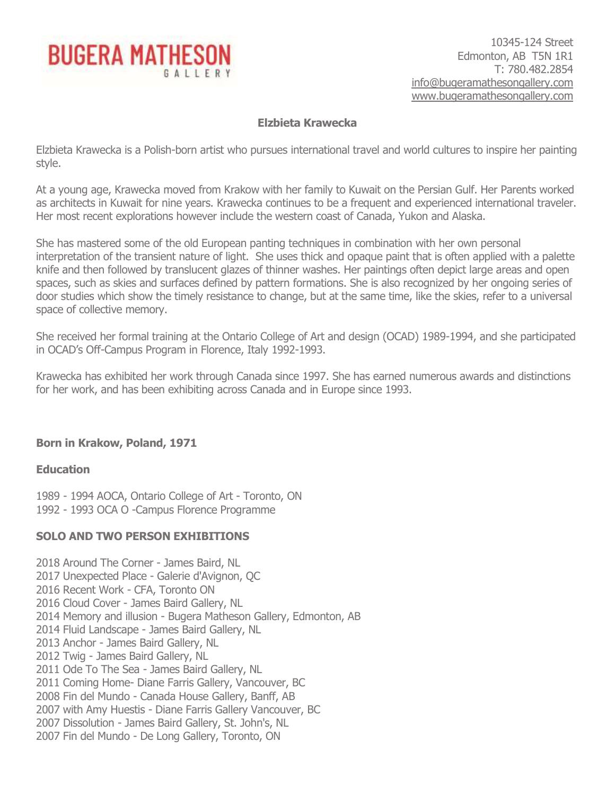

# **Elzbieta Krawecka**

Elzbieta Krawecka is a Polish-born artist who pursues international travel and world cultures to inspire her painting style.

At a young age, Krawecka moved from Krakow with her family to Kuwait on the Persian Gulf. Her Parents worked as architects in Kuwait for nine years. Krawecka continues to be a frequent and experienced international traveler. Her most recent explorations however include the western coast of Canada, Yukon and Alaska.

She has mastered some of the old European panting techniques in combination with her own personal interpretation of the transient nature of light. She uses thick and opaque paint that is often applied with a palette knife and then followed by translucent glazes of thinner washes. Her paintings often depict large areas and open spaces, such as skies and surfaces defined by pattern formations. She is also recognized by her ongoing series of door studies which show the timely resistance to change, but at the same time, like the skies, refer to a universal space of collective memory.

She received her formal training at the Ontario College of Art and design (OCAD) 1989-1994, and she participated in OCAD's Off-Campus Program in Florence, Italy 1992-1993.

Krawecka has exhibited her work through Canada since 1997. She has earned numerous awards and distinctions for her work, and has been exhibiting across Canada and in Europe since 1993.

# **Born in Krakow, Poland, 1971**

### **Education**

1989 - 1994 AOCA, Ontario College of Art - Toronto, ON 1992 - 1993 OCA O -Campus Florence Programme

# **SOLO AND TWO PERSON EXHIBITIONS**

2018 Around The Corner - James Baird, NL 2017 Unexpected Place - Galerie d'Avignon, QC 2016 Recent Work - CFA, Toronto ON 2016 Cloud Cover - James Baird Gallery, NL 2014 Memory and illusion - Bugera Matheson Gallery, Edmonton, AB 2014 Fluid Landscape - James Baird Gallery, NL 2013 Anchor - James Baird Gallery, NL 2012 Twig - James Baird Gallery, NL 2011 Ode To The Sea - James Baird Gallery, NL 2011 Coming Home- Diane Farris Gallery, Vancouver, BC 2008 Fin del Mundo - Canada House Gallery, Banff, AB 2007 with Amy Huestis - Diane Farris Gallery Vancouver, BC 2007 Dissolution - James Baird Gallery, St. John's, NL 2007 Fin del Mundo - De Long Gallery, Toronto, ON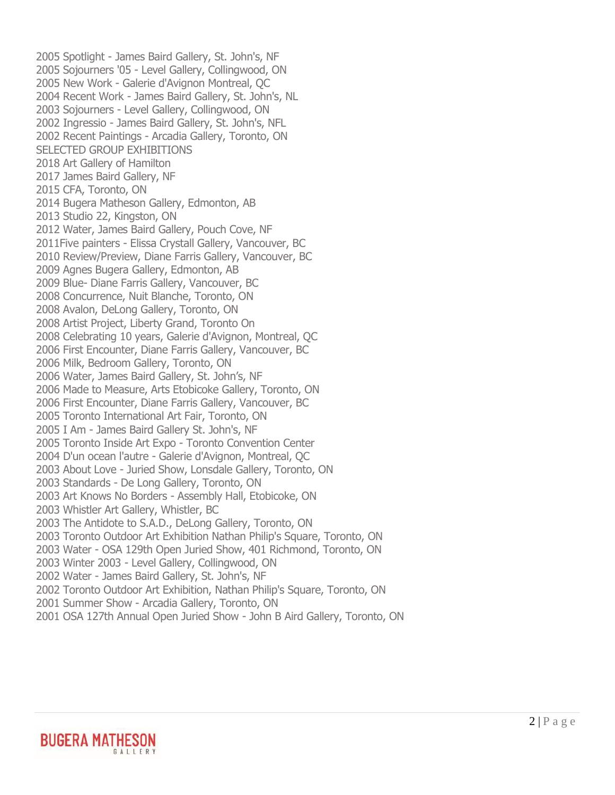2005 Spotlight - James Baird Gallery, St. John's, NF 2005 Sojourners '05 - Level Gallery, Collingwood, ON 2005 New Work - Galerie d'Avignon Montreal, QC 2004 Recent Work - James Baird Gallery, St. John's, NL 2003 Sojourners - Level Gallery, Collingwood, ON 2002 Ingressio - James Baird Gallery, St. John's, NFL 2002 Recent Paintings - Arcadia Gallery, Toronto, ON SELECTED GROUP EXHIBITIONS 2018 Art Gallery of Hamilton 2017 James Baird Gallery, NF 2015 CFA, Toronto, ON 2014 Bugera Matheson Gallery, Edmonton, AB 2013 Studio 22, Kingston, ON 2012 Water, James Baird Gallery, Pouch Cove, NF 2011Five painters - Elissa Crystall Gallery, Vancouver, BC 2010 Review/Preview, Diane Farris Gallery, Vancouver, BC 2009 Agnes Bugera Gallery, Edmonton, AB 2009 Blue- Diane Farris Gallery, Vancouver, BC 2008 Concurrence, Nuit Blanche, Toronto, ON 2008 Avalon, DeLong Gallery, Toronto, ON 2008 Artist Project, Liberty Grand, Toronto On 2008 Celebrating 10 years, Galerie d'Avignon, Montreal, QC 2006 First Encounter, Diane Farris Gallery, Vancouver, BC 2006 Milk, Bedroom Gallery, Toronto, ON 2006 Water, James Baird Gallery, St. John's, NF 2006 Made to Measure, Arts Etobicoke Gallery, Toronto, ON 2006 First Encounter, Diane Farris Gallery, Vancouver, BC 2005 Toronto International Art Fair, Toronto, ON 2005 I Am - James Baird Gallery St. John's, NF 2005 Toronto Inside Art Expo - Toronto Convention Center 2004 D'un ocean l'autre - Galerie d'Avignon, Montreal, QC 2003 About Love - Juried Show, Lonsdale Gallery, Toronto, ON 2003 Standards - De Long Gallery, Toronto, ON 2003 Art Knows No Borders - Assembly Hall, Etobicoke, ON 2003 Whistler Art Gallery, Whistler, BC 2003 The Antidote to S.A.D., DeLong Gallery, Toronto, ON 2003 Toronto Outdoor Art Exhibition Nathan Philip's Square, Toronto, ON 2003 Water - OSA 129th Open Juried Show, 401 Richmond, Toronto, ON 2003 Winter 2003 - Level Gallery, Collingwood, ON 2002 Water - James Baird Gallery, St. John's, NF 2002 Toronto Outdoor Art Exhibition, Nathan Philip's Square, Toronto, ON 2001 Summer Show - Arcadia Gallery, Toronto, ON 2001 OSA 127th Annual Open Juried Show - John B Aird Gallery, Toronto, ON